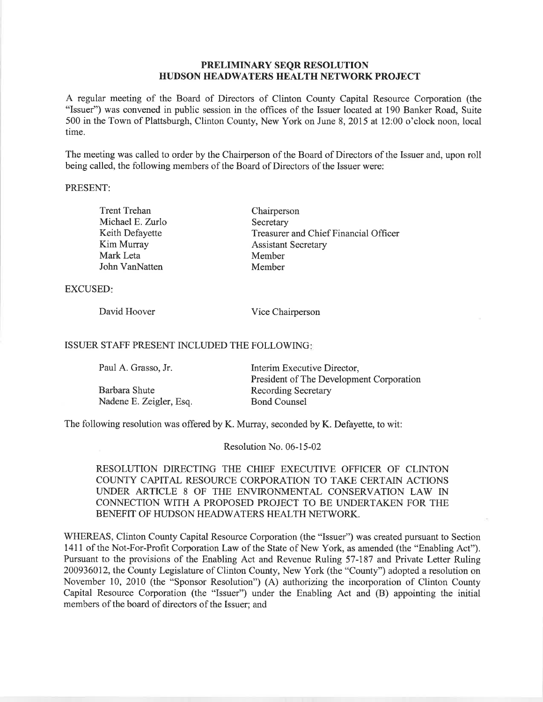## PRELIMINARY SEQR RESOLUTION HUDSON HEADWATERS HEALTH NETWORK PROJECT

A regular meeting of the Board of Directors of Clinton County Capital Resource Corporation (the "Issuer") was convened in public session in the offices of the Issuer located at 190 Banker Road, Suite 500 in the Town of Plattsburgh, Clinton County, New York on June 8,2015 at 12:00 o'clock noon, local time.

The meeting was called to order by the Chairperson of the Board of Directors of the Issuer and, upon roll being called, the following members of the Board of Directors of the Issuer were:

## PRESENT:

| <b>Trent Trehan</b> | Chairperson                           |
|---------------------|---------------------------------------|
| Michael E. Zurlo    | Secretary                             |
| Keith Defayette     | Treasurer and Chief Financial Officer |
| Kim Murray          | <b>Assistant Secretary</b>            |
| Mark Leta           | Member                                |
| John VanNatten      | Member                                |
|                     |                                       |

## EXCUSED

David Hoover Vice Chairperson

## ISSUER STAFF PRESENT INCLUDED THE FOLLOWING

| Paul A. Grasso, Jr.     | Interim Executive Director,              |  |
|-------------------------|------------------------------------------|--|
|                         | President of The Development Corporation |  |
| Barbara Shute           | <b>Recording Secretary</b>               |  |
| Nadene E. Zeigler, Esq. | <b>Bond Counsel</b>                      |  |

The following resolution was offered by K. Murray, seconded by K. Defayette, to wit:

Resolution No. 06-l 5-02

RESOLUTION DIRECTING THE CHIEF EXECUTTVE OFFICER OF CLINTON COUNTY CAPITAL RESOURCE CORPORATION TO TAKE CERTAIN ACTIONS UNDER ARTICLE 8 OF THE ENVIRONMENTAL CONSERVATION LAW IN CONNECTION WITH A PROPOSED PROJECT TO BE LINDERTAKEN FOR THE BENEFIT OF HUDSON HEADWATERS HEALTH NETWORK.

WHEREAS, Clinton County Capital Resource Corporation (the "Issuer") was created pursuant to Section 1411 of the Not-For-Profit Corporation Law of the State of New York, as amended (the "Enabling Act"). Pursuant to the provisions of the Enabling Act and Revenue Ruling 57-187 and Private Letter Ruling 200936012, the County Legislature of Clinton County, New York (the "County") adopted a resolution on November 10, 2010 (the "Sponsor Resolution") (A) authorizing the incorporation of Clinton County Capital Resource Corporation (the "Issuer") under the Enabling Act and (B) appointing the initial members of the board of directors of the Issuer; and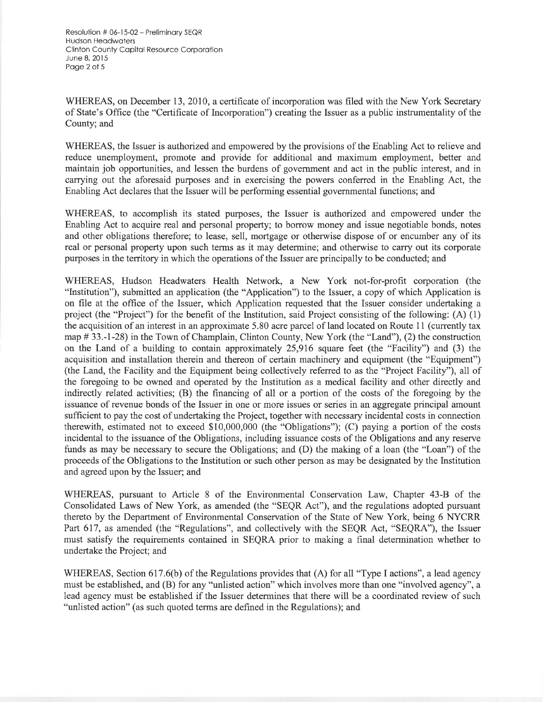Resolution # 0ó-15-02 - Preliminory SEQR Hudson Heodwoters Clinton County Capital Resource Corporation June 8, 20ì5 Poge 2 of 5

WHEREAS, on December 13, 2010, a certificate of incorporation was filed with the New York Secretary of State's Office (the "Certificate of Incorporation") creating the Issuer as a public instrumentality of the County; and

WHEREAS, the Issuer is authorized and empowered by the provisions of the Enabling Act to relieve and reduce unemployment, promote and provide for additional and maximum employment, better and maintain job opportunities, and lessen the burdens of government and act in the public interest, and in carrying out the aforesaid purposes and in exercising the powers conferred in the Enabling Act, the Enabling Act declares that the Issuer will be performing essential governmental functions; and

WHEREAS, to accomplish its stated purposes, the Issuer is authorized and empowered under the Enabling Act to acquire real and personal property; to borrow money and issue negotiable bonds, notes and other obligations therefore; to lease, sell, mortgage or otherwise dispose of or encumber any of its real or personal property upon such terms as it may determine; and otherwise to carry out its corporate purposes in the territory in which the operations of the Issuer are principally to be conducted; and

WHEREAS, Hudson Headwaters Health Network, a New York not-for-profit corporation (the "lnstitution"), submitted an application (the "Application") to the Issuer, a copy of which Application is on file at the office of the Issuer, which Application requested that the Issuer consider undertaking <sup>a</sup> project (the "Project") for the benefit of the Institution, said Project consisting of the following: (A) (1) the acquisition of an interest in an approximate 5.80 acre parcel of land located on Route 11 (currently tax map # 33.-1-28) in the Town of Champlain, Clinton County, New York (the "Land"), (2) the construction on the Land of a building to contain approximately 25,916 square feet (the "Facility") and (3) the acquisition and installation therein and thereon of certain machinery and equipment (the "Equipment") (the Land, the Facility and the Equipment being collectively referred to as the "Project Facility"), all of the foregoing to be owned and operated by the Institution as a medical facility and other directly and indirectly related activities; (B) the financing of all or a portion of the costs of the foregoing by the issuance of revenue bonds of the Issuer in one or more issues or series in an aggregate principal amount sufficient to pay the cost of undertaking the Project, together with necessary incidental costs in connection therewith, estimated not to exceed \$10,000,000 (the "Obligations"); (C) paying a portion of the costs incidental to the issuance of the Obligations, including issuance costs of the Obligations and any reserve funds as may be necessary to secure the Obligations; and (D) the making of a loan (the "Loan") of the proceeds of the Obligations to the Institution or such other person as may be designated by the Institution and agreed upon by the Issuer; and

WHEREAS, pursuant to Article 8 of the Environmental Conservation Law, Chapter 43-B of the Consolidated Laws of New York, as amended (the "SEQR Act"), and the regulations adopted pursuant thereto by the Department of Environmental Conservation of the State of New York, being 6 NYCRR Part 617, as amended (the "Regulations", and collectively with the SEQR Act, "SEQRA"), the Issuer must satisfy the requirements contained in SEQRA prior to making a final determination whether to undertake the Project; and

WHEREAS, Section 617.6(b) of the Regulations provides that (A) for all "Type I actions", a lead agency must be established, and (B) for any "unlisted action" which involves more than one "involved agency", a lead agency must be established if the Issuer determines that there will be a coordinated review of such "unlisted action" (as such quoted terms are defined in the Regulations); and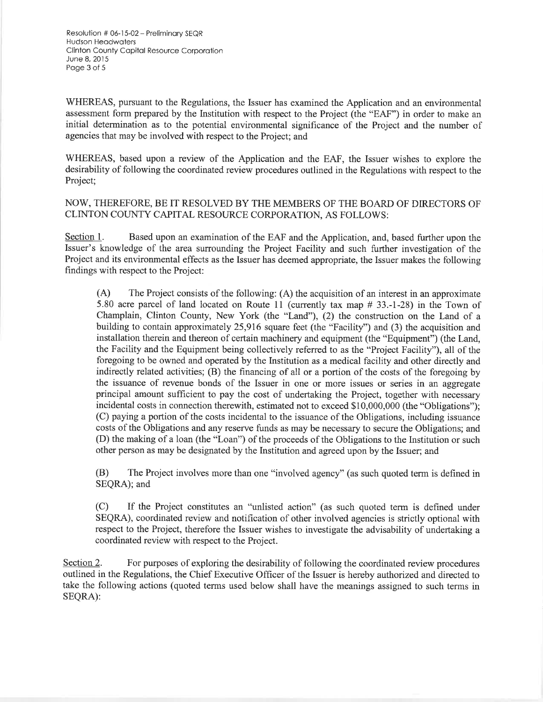Resolulion # 06-15-02- Preliminory SEQR Hudson Heodwoters Clinton County Copitol Resource Corporotion June 8,2015 Poge 3 of 5

WHEREAS, pursuant to the Regulations, the Issuer has examined the Application and an environmental assessment form prepared by the Institution with respect to the Project (the "EAF") in order to make an initial determination as to the potential environmental significance of the Project and the number of agencies that may be involved with respect to the Project; and

WHEREAS, based upon a review of the Application and the EAF, the Issuer wishes to explore the desirability of following the coordinated review procedures outlined in the Regulations with respect to the Project;

NOW, THEREFORE, BE IT RESOLVED BY THE MEMBERS OF THE BOARD OF DIRECTORS OF CLINTON COUNTY CAPITAL RESOURCE CORPORATION, AS FOLLOWS:

Section 1. Based upon an examination of the EAF and the Application, and, based further upon the Issuer's knowledge of the area surrounding the Project Facility and such further investigation of the Project and its environmental effects as the Issuer has deemed appropriate, the Issuer makes the following findings with respect to the Project:

(A) The Project consists of the following: (A) the acquisition of an interest in an approximate 5.80 acre parcel of land located on Route 11 (currently tax map # 33.-l-28) in the Town of Champlain, Clinton County, New York (the "Land"), (2) the construction on the Land of <sup>a</sup> building to contain approximately 25,976 square feet (the "Facility") and (3) the acquisition and installation therein and thereon of certain machinery and equipment (the "Equipment") (the Land, the Facility and the Equipment being collectively referred to as the "Project Facility"), all of the foregoing to be owned and operated by the Institution as a medical facility and other directly and indirectly related activities; (B) the financing of all or a portion of the costs of the foregoing by the issuance of revenue bonds of the Issuer in one or more issues or series in an aggregate principal amount sufficient to pay the cost of undertaking the Project, together with necessary incidental costs in connection therewith, estimated not to exceed \$10,000,000 (the "Obligations"); (C) paying a portion of the costs incidental to the issuance of the Obligations, including issuance costs of the Obligations and any reserye funds as may be necessary to secure the Obligations; and (D) the making of a loan (the "Loan") of the proceeds of the Obligations to the Institution or such other person as may be designated by the Institution and agreed upon by the Issuer; and

(B) The Project involves more than one "involved agency" (as such quoted term is defined in SEQRA); and

(C) If the Project constitutes an "unlisted action" (as such quoted term is defined under SEQRA), coordinated review and notification of other involved agencies is strictly optional with respect to the Project, therefore the Issuer wishes to investigate the advisability of undertaking a coordinated review with respect to the Project.

Section 2. For purposes of exploring the desirability of following the coordinated review procedures outlined in the Regulations, the Chief Executive Officer of the lssuer is hereby authorized and directed to take the following actions (quoted terms used below shall have the meanings assigned to such terms in SEQRA):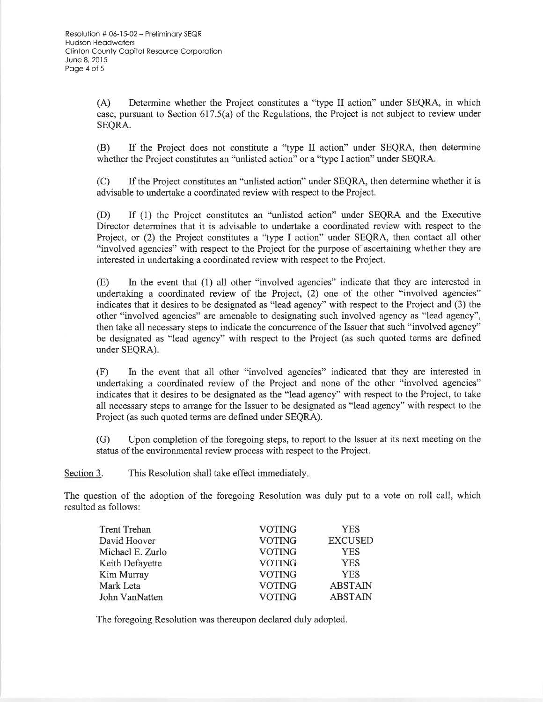(A) Determine whether the Project constitutes a "type II action" under SEQRA, in which case, pursuant to Section 617.5(a) of the Regulations, the Project is not subject to review under SEQRA.

(B) If the Project does not constitute a "type II action" under SEQRA, then determine whether the Project constitutes an "unlisted action" or a "type I action" under SEQRA.

(C) If the Project constitutes an "unlisted action" under SEQRA, then determine whether it is advisable to undertake a coordinated review with respect to the Project.

(D) If (1) the Project constitutes an "unlisted action" under SEQRA and the Executive Director determines that it is advisable to undertake a coordinated review with respect to the Project, or (2) the Project constitutes a "type I action" under SEQRA, then contact all other "involved agencies" with respect to the Project for the purpose of ascertaining whether they are interested in undertaking a coordinated review with respect to the Project.

(E) Ln the event that (1) all other "involved agencies" indicate that they are interested in undertaking a coordinated review of the Project, (2) one of the other "involved agencies" indicates that it desires to be designated as "lead agency" with respect to the Project and (3) the other "involved agencies" are amenable to designating such involved agency as "lead agency", then take all necessary steps to indicate the concurrence of the Issuer that such "involved agency" be designated as "lead agency" with respect to the Project (as such quoted terms are defined under SEQRA).

(F) In the event that all other "involved agencies" indicated that they are interested in undertaking a coordinated review of the Project and none of the other "involved agencies" indicates that it desires to be designated as the "lead agency" with respect to the Project, to take all necessary steps to arrange for the Issuer to be designated as "lead agency" with respect to the Project (as such quoted terms are defined under SEQRA).

(G) Upon completion of the foregoing steps, to report to the Issuer at its next meeting on the status of the environmental review process with respect to the Project.

Section 3. This Resolution shall take effect immediately.

The question of the adoption of the foregoing Resolution was duly put to a vote on roll call, which resulted as follows:

| <b>Trent Trehan</b> | <b>VOTING</b> | <b>YES</b>     |
|---------------------|---------------|----------------|
| David Hoover        | <b>VOTING</b> | <b>EXCUSED</b> |
| Michael E. Zurlo    | <b>VOTING</b> | <b>YES</b>     |
| Keith Defayette     | <b>VOTING</b> | <b>YES</b>     |
| Kim Murray          | <b>VOTING</b> | <b>YES</b>     |
| Mark Leta           | <b>VOTING</b> | <b>ABSTAIN</b> |
| John VanNatten      | <b>VOTING</b> | <b>ABSTAIN</b> |

The foregoing Resolution was thereupon declared duly adopted.